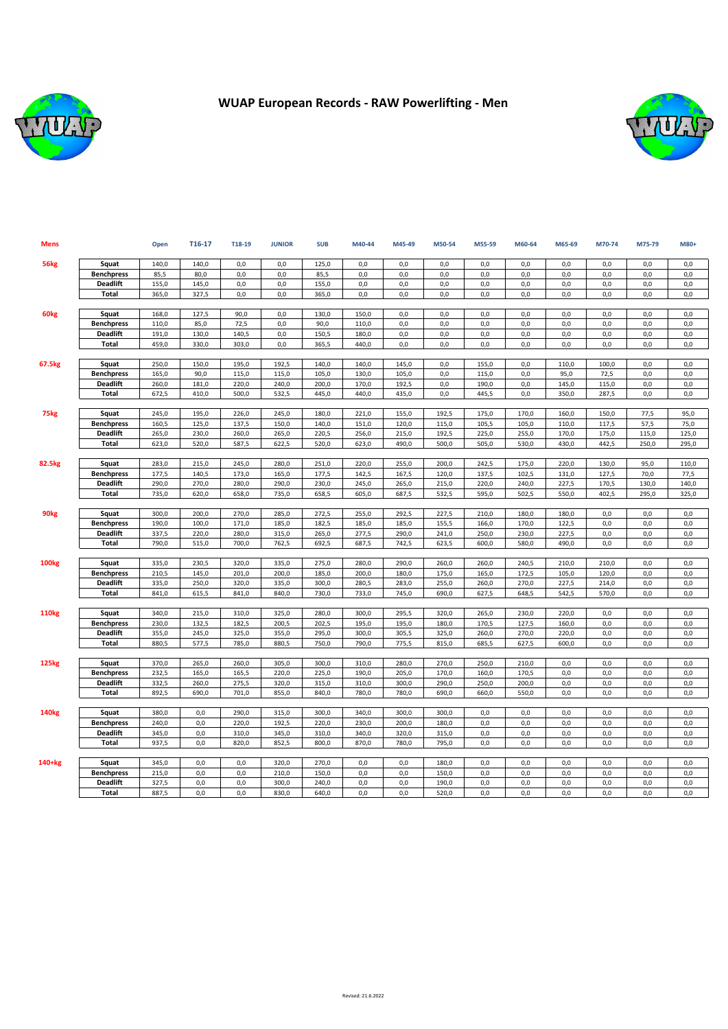

## **WUAP European Records - RAW Powerlifting - Men**



| <b>Mens</b>      |                                 | Open  | T16-17 | T18-19 | <b>JUNIOR</b> | <b>SUB</b> | M40-44 | M45-49 | M50-54 | M55-59 | M60-64 | M65-69 | M70-74 | M75-79 | M80+  |
|------------------|---------------------------------|-------|--------|--------|---------------|------------|--------|--------|--------|--------|--------|--------|--------|--------|-------|
| 56 <sub>kg</sub> | Squat                           | 140,0 | 140,0  | 0,0    | 0,0           | 125,0      | 0,0    | 0,0    | 0,0    | 0,0    | 0,0    | 0,0    | 0,0    | 0,0    | 0,0   |
|                  | <b>Benchpress</b>               | 85,5  | 80,0   | 0.0    | 0.0           | 85,5       | 0,0    | 0,0    | 0,0    | 0,0    | 0,0    | 0,0    | 0.0    | 0,0    | 0,0   |
|                  | <b>Deadlift</b>                 | 155,0 | 145,0  | 0,0    | 0,0           | 155,0      | 0,0    | 0,0    | 0,0    | 0,0    | 0,0    | 0,0    | 0,0    | 0,0    | 0,0   |
|                  | <b>Total</b>                    | 365,0 | 327,5  | 0,0    | 0,0           | 365,0      | 0,0    | 0,0    | 0,0    | 0,0    | 0,0    | 0,0    | 0,0    | 0,0    | 0,0   |
|                  |                                 |       |        |        |               |            |        |        |        |        |        |        |        |        |       |
| 60 <sub>kg</sub> | Squat                           | 168,0 | 127,5  | 90,0   | 0,0           | 130,0      | 150,0  | 0,0    | 0,0    | 0,0    | 0,0    | 0.0    | 0,0    | 0,0    | 0,0   |
|                  | <b>Benchpress</b>               | 110,0 | 85,0   | 72,5   | 0,0           | 90,0       | 110,0  | 0,0    | 0,0    | 0,0    | 0,0    | 0,0    | 0,0    | 0,0    | 0,0   |
|                  | <b>Deadlift</b>                 | 191,0 | 130,0  | 140,5  | 0,0           | 150,5      | 180,0  | 0,0    | 0,0    | 0,0    | 0,0    | 0,0    | 0,0    | 0,0    | 0,0   |
|                  | Total                           | 459,0 | 330,0  | 303,0  | 0,0           | 365,5      | 440,0  | 0,0    | 0,0    | 0,0    | 0,0    | 0,0    | 0,0    | 0,0    | 0,0   |
|                  |                                 |       |        |        |               |            |        |        |        |        |        |        |        |        |       |
| 67.5kg           | Squat                           | 250,0 | 150,0  | 195,0  | 192,5         | 140,0      | 140,0  | 145,0  | 0,0    | 155,0  | 0,0    | 110,0  | 100,0  | 0,0    | 0,0   |
|                  | <b>Benchpress</b>               | 165.0 | 90,0   | 115.0  | 115,0         | 105.0      | 130,0  | 105.0  | 0,0    | 115.0  | 0,0    | 95.0   | 72,5   | 0.0    | 0.0   |
|                  | <b>Deadlift</b>                 | 260,0 | 181,0  | 220,0  | 240,0         | 200,0      | 170,0  | 192,5  | 0,0    | 190,0  | 0,0    | 145,0  | 115,0  | 0,0    | 0,0   |
|                  | Total                           | 672,5 | 410,0  | 500,0  | 532,5         | 445,0      | 440,0  | 435,0  | 0,0    | 445,5  | 0,0    | 350,0  | 287,5  | 0,0    | 0,0   |
|                  |                                 |       |        |        |               |            |        |        |        |        |        |        |        |        |       |
| 75 <sub>kg</sub> | Squat                           | 245,0 | 195,0  | 226,0  | 245,0         | 180,0      | 221,0  | 155,0  | 192,5  | 175,0  | 170,0  | 160,0  | 150,0  | 77,5   | 95,0  |
|                  | <b>Benchpress</b>               | 160,5 | 125,0  | 137,5  | 150,0         | 140,0      | 151,0  | 120,0  | 115,0  | 105,5  | 105,0  | 110,0  | 117,5  | 57,5   | 75,0  |
|                  | <b>Deadlift</b>                 | 265,0 | 230,0  | 260,0  | 265,0         | 220,5      | 256,0  | 215,0  | 192,5  | 225,0  | 255,0  | 170.0  | 175,0  | 115,0  | 125,0 |
|                  | <b>Total</b>                    | 623,0 | 520,0  | 587,5  | 622,5         | 520,0      | 623,0  | 490,0  | 500,0  | 505,0  | 530,0  | 430,0  | 442,5  | 250,0  | 295,0 |
| 82.5kg           | Squat                           | 283,0 | 215,0  | 245,0  | 280,0         | 251,0      | 220,0  | 255,0  | 200,0  | 242,5  | 175,0  | 220,0  | 130,0  | 95,0   | 110,0 |
|                  | <b>Benchpress</b>               | 177,5 | 140,5  | 173,0  | 165,0         | 177,5      | 142,5  | 167,5  | 120,0  | 137,5  | 102,5  | 131,0  | 127,5  | 70,0   | 77,5  |
|                  | <b>Deadlift</b>                 | 290,0 | 270,0  | 280,0  | 290,0         | 230,0      | 245,0  | 265,0  | 215,0  | 220,0  | 240,0  | 227,5  | 170,5  | 130,0  | 140,0 |
|                  | Total                           | 735,0 | 620,0  | 658,0  | 735,0         | 658,5      | 605,0  | 687,5  | 532,5  | 595,0  | 502,5  | 550,0  | 402,5  | 295,0  | 325,0 |
|                  |                                 |       |        |        |               |            |        |        |        |        |        |        |        |        |       |
| 90 <sub>kg</sub> | Squat                           | 300,0 | 200,0  | 270,0  | 285,0         | 272,5      | 255,0  | 292,5  | 227,5  | 210,0  | 180,0  | 180,0  | 0,0    | 0,0    | 0,0   |
|                  | <b>Benchpress</b>               | 190,0 | 100,0  | 171,0  | 185,0         | 182,5      | 185,0  | 185,0  | 155,5  | 166,0  | 170,0  | 122,5  | 0,0    | 0,0    | 0,0   |
|                  | <b>Deadlift</b>                 | 337,5 | 220,0  | 280,0  | 315,0         | 265,0      | 277,5  | 290,0  | 241,0  | 250,0  | 230,0  | 227,5  | 0,0    | 0,0    | 0,0   |
|                  | <b>Total</b>                    | 790,0 | 515,0  | 700,0  | 762,5         | 692,5      | 687,5  | 742,5  | 623,5  | 600,0  | 580,0  | 490,0  | 0,0    | 0,0    | 0,0   |
|                  |                                 |       |        |        |               |            |        |        |        |        |        |        |        |        |       |
| <b>100kg</b>     | Squat                           | 335,0 | 230,5  | 320,0  | 335,0         | 275,0      | 280,0  | 290,0  | 260,0  | 260,0  | 240,5  | 210,0  | 210,0  | 0,0    | 0,0   |
|                  | <b>Benchpress</b>               | 210,5 | 145,0  | 201,0  | 200,0         | 185,0      | 200,0  | 180,0  | 175,0  | 165,0  | 172,5  | 105,0  | 120,0  | 0,0    | 0,0   |
|                  | <b>Deadlift</b>                 | 335,0 | 250,0  | 320,0  | 335,0         | 300,0      | 280,5  | 283,0  | 255,0  | 260,0  | 270,0  | 227,5  | 214,0  | 0,0    | 0,0   |
|                  | <b>Total</b>                    | 841,0 | 615,5  | 841,0  | 840,0         | 730,0      | 733,0  | 745,0  | 690,0  | 627,5  | 648,5  | 542,5  | 570,0  | 0,0    | 0,0   |
|                  |                                 |       |        |        |               |            |        |        |        |        |        |        |        |        |       |
| <b>110kg</b>     | Squat                           | 340,0 | 215,0  | 310,0  | 325,0         | 280,0      | 300,0  | 295,5  | 320,0  | 265,0  | 230,0  | 220,0  | 0,0    | 0,0    | 0,0   |
|                  | <b>Benchpress</b>               | 230,0 | 132,5  | 182,5  | 200,5         | 202,5      | 195,0  | 195,0  | 180,0  | 170,5  | 127,5  | 160,0  | 0,0    | 0,0    | 0,0   |
|                  | <b>Deadlift</b><br><b>Total</b> | 355,0 | 245,0  | 325,0  | 355,0         | 295,0      | 300,0  | 305,5  | 325,0  | 260,0  | 270,0  | 220,0  | 0,0    | 0,0    | 0,0   |
|                  |                                 | 880,5 | 577,5  | 785,0  | 880,5         | 750,0      | 790,0  | 775,5  | 815,0  | 685,5  | 627,5  | 600,0  | 0,0    | 0,0    | 0,0   |
| <b>125kg</b>     | Squat                           | 370,0 | 265,0  | 260,0  | 305,0         | 300,0      | 310,0  | 280,0  | 270,0  | 250,0  | 210,0  | 0,0    | 0,0    | 0,0    | 0,0   |
|                  | <b>Benchpress</b>               | 232,5 | 165,0  | 165,5  | 220,0         | 225,0      | 190,0  | 205,0  | 170,0  | 160,0  | 170,5  | 0.0    | 0,0    | 0,0    | 0,0   |
|                  | <b>Deadlift</b>                 | 332,5 | 260,0  | 275,5  | 320,0         | 315,0      | 310,0  | 300,0  | 290,0  | 250,0  | 200,0  | 0,0    | 0,0    | 0,0    | 0,0   |
|                  | <b>Total</b>                    | 892,5 | 690,0  | 701,0  | 855,0         | 840,0      | 780,0  | 780,0  | 690,0  | 660,0  | 550,0  | 0,0    | 0,0    | 0,0    | 0,0   |
|                  |                                 |       |        |        |               |            |        |        |        |        |        |        |        |        |       |
| <b>140kg</b>     | Squat                           | 380,0 | 0,0    | 290,0  | 315,0         | 300,0      | 340,0  | 300,0  | 300,0  | 0,0    | 0,0    | 0,0    | 0,0    | 0,0    | 0,0   |
|                  | <b>Benchpress</b>               | 240,0 | 0,0    | 220,0  | 192,5         | 220,0      | 230,0  | 200,0  | 180,0  | 0,0    | 0,0    | 0,0    | 0,0    | 0,0    | 0,0   |
|                  | <b>Deadlift</b>                 | 345,0 | 0,0    | 310,0  | 345,0         | 310,0      | 340,0  | 320,0  | 315,0  | 0,0    | 0,0    | 0,0    | 0,0    | 0,0    | 0,0   |
|                  | <b>Total</b>                    | 937,5 | 0,0    | 820,0  | 852,5         | 800,0      | 870,0  | 780,0  | 795,0  | 0,0    | 0,0    | 0,0    | 0,0    | 0,0    | 0,0   |
|                  |                                 |       |        |        |               |            |        |        |        |        |        |        |        |        |       |
| $140+kg$         | Squat                           | 345,0 | 0,0    | 0,0    | 320,0         | 270,0      | 0,0    | 0,0    | 180,0  | 0,0    | 0,0    | 0,0    | 0,0    | 0,0    | 0,0   |
|                  | <b>Benchpress</b>               | 215,0 | 0,0    | 0,0    | 210,0         | 150,0      | 0,0    | 0,0    | 150,0  | 0,0    | 0,0    | 0,0    | 0,0    | 0,0    | 0,0   |
|                  | <b>Deadlift</b>                 | 327,5 | 0,0    | 0,0    | 300,0         | 240,0      | 0,0    | 0,0    | 190,0  | 0,0    | 0,0    | 0,0    | 0,0    | 0,0    | 0,0   |
|                  | <b>Total</b>                    | 887,5 | 0,0    | 0,0    | 830,0         | 640,0      | 0,0    | 0,0    | 520,0  | 0,0    | 0,0    | 0,0    | 0,0    | 0,0    | 0,0   |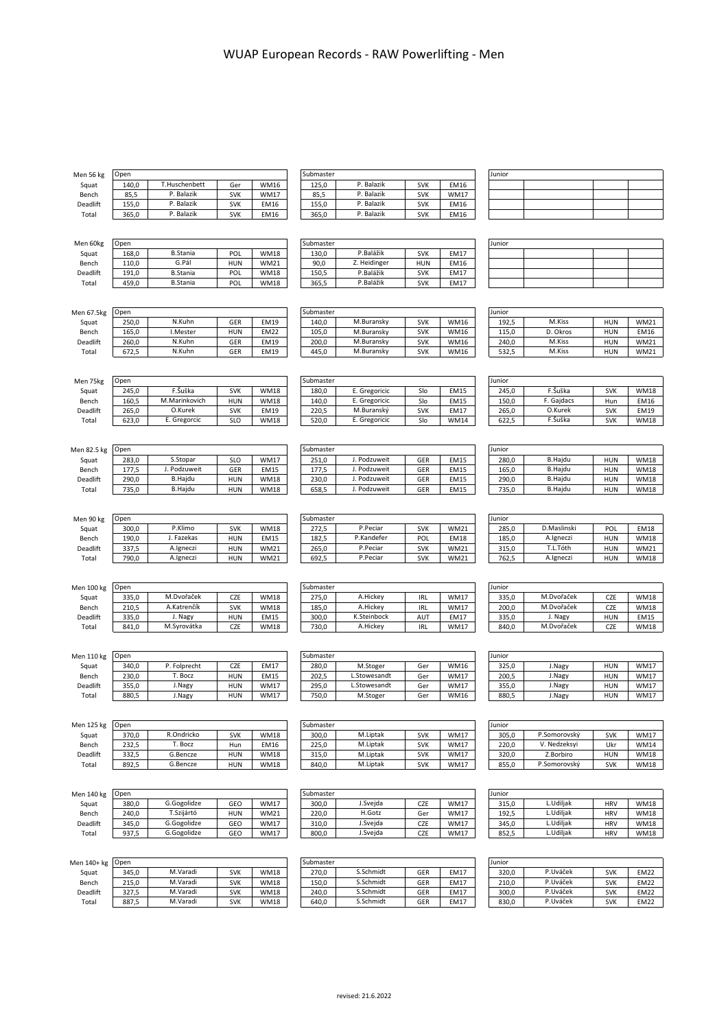| Men 56 kg         | Open           |                          |                          |                            | Submaster          |                           |                          |                            | Junior          |                           |                          |                            |
|-------------------|----------------|--------------------------|--------------------------|----------------------------|--------------------|---------------------------|--------------------------|----------------------------|-----------------|---------------------------|--------------------------|----------------------------|
| Squat             | 140,0          | T.Huschenbett            | Ger                      | <b>WM16</b>                | 125,0              | P. Balazik                | <b>SVK</b>               | EM16                       |                 |                           |                          |                            |
| Bench             | 85,5           | P. Balazik               | <b>SVK</b>               | <b>WM17</b>                | 85,5               | P. Balazik                | <b>SVK</b>               | <b>WM17</b>                |                 |                           |                          |                            |
| Deadlift          | 155,0          | P. Balazik               | <b>SVK</b>               | EM16                       | 155,0              | P. Balazik                | <b>SVK</b>               | EM16                       |                 |                           |                          |                            |
| Total             | 365,0          | P. Balazik               | <b>SVK</b>               | EM16                       | 365,0              | P. Balazik                | <b>SVK</b>               | EM16                       |                 |                           |                          |                            |
|                   |                |                          |                          |                            |                    |                           |                          |                            |                 |                           |                          |                            |
|                   |                |                          |                          |                            |                    |                           |                          |                            |                 |                           |                          |                            |
| Men 60kg          | Open           |                          |                          |                            | Submaster          |                           |                          |                            | Junior          |                           |                          |                            |
| Squat             | 168,0          | <b>B.Stania</b><br>G.Pál | POL                      | <b>WM18</b>                | 130,0              | P.Balážik<br>Z. Heidinger | <b>SVK</b>               | <b>EM17</b>                |                 |                           |                          |                            |
| Bench<br>Deadlift | 110,0<br>191,0 | <b>B.Stania</b>          | <b>HUN</b><br>POL        | <b>WM21</b><br><b>WM18</b> | 90,0<br>150,5      | P.Balážik                 | <b>HUN</b><br><b>SVK</b> | EM16<br>EM17               |                 |                           |                          |                            |
| Total             | 459,0          | <b>B.Stania</b>          | POL                      | <b>WM18</b>                | 365,5              | P.Balážik                 | <b>SVK</b>               | EM17                       |                 |                           |                          |                            |
|                   |                |                          |                          |                            |                    |                           |                          |                            |                 |                           |                          |                            |
|                   |                |                          |                          |                            |                    |                           |                          |                            |                 |                           |                          |                            |
| Men 67.5kg        | Open           |                          |                          |                            | Submaster          |                           |                          |                            | Junior          |                           |                          |                            |
| Squat             | 250,0          | N.Kuhn                   | GER                      | EM19                       | 140,0              | M.Buransky                | <b>SVK</b>               | <b>WM16</b>                | 192,5           | M.Kiss                    | <b>HUN</b>               | <b>WM21</b>                |
| Bench             | 165,0          | I.Mester                 | <b>HUN</b>               | <b>EM22</b>                | 105,0              | M.Buransky                | <b>SVK</b>               | WM16                       | 115,0           | D. Okros                  | <b>HUN</b>               | <b>EM16</b>                |
| Deadlift          | 260,0          | N.Kuhn                   | GER                      | EM19                       | 200,0              | M.Buransky                | <b>SVK</b>               | <b>WM16</b>                | 240,0           | M.Kiss                    | <b>HUN</b>               | <b>WM21</b>                |
| Total             | 672,5          | N.Kuhn                   | GER                      | EM19                       | 445,0              | M.Buransky                | <b>SVK</b>               | <b>WM16</b>                | 532,5           | M.Kiss                    | <b>HUN</b>               | <b>WM21</b>                |
|                   |                |                          |                          |                            |                    |                           |                          |                            |                 |                           |                          |                            |
|                   |                |                          |                          |                            |                    |                           |                          |                            |                 |                           |                          |                            |
| Men 75kg          | Open<br>245,0  | F.Šuška                  | <b>SVK</b>               | <b>WM18</b>                | Submaster<br>180,0 | E. Gregoricic             | Slo                      | EM15                       | Junior<br>245,0 | F.Šuška                   | <b>SVK</b>               | <b>WM18</b>                |
| Squat<br>Bench    | 160,5          | M.Marinkovich            | <b>HUN</b>               | <b>WM18</b>                | 140,0              | E. Gregoricic             | Slo                      | EM15                       | 150,0           | F. Gajdacs                | Hun                      | <b>EM16</b>                |
| Deadlift          | 265,0          | O.Kurek                  | <b>SVK</b>               | EM19                       | 220,5              | M.Buranský                | <b>SVK</b>               | <b>EM17</b>                | 265,0           | O.Kurek                   | <b>SVK</b>               | EM19                       |
| Total             | 623,0          | E. Gregorcic             | <b>SLO</b>               | <b>WM18</b>                | 520,0              | E. Gregoricic             | Slo                      | <b>WM14</b>                | 622,5           | F.Šuška                   | <b>SVK</b>               | <b>WM18</b>                |
|                   |                |                          |                          |                            |                    |                           |                          |                            |                 |                           |                          |                            |
|                   |                |                          |                          |                            |                    |                           |                          |                            |                 |                           |                          |                            |
| Men 82.5 kg       | Open           |                          |                          |                            | Submaster          |                           |                          |                            | Junior          |                           |                          |                            |
| Squat             | 283,0          | S.Stopar                 | <b>SLO</b>               | <b>WM17</b>                | 251,0              | J. Podzuweit              | GER                      | <b>EM15</b>                | 280,0           | <b>B.Hajdu</b>            | <b>HUN</b>               | <b>WM18</b>                |
| Bench             | 177,5          | J. Podzuweit             | GER                      | EM15                       | 177,5              | J. Podzuweit              | GER                      | EM15                       | 165,0           | <b>B.Hajdu</b>            | <b>HUN</b>               | <b>WM18</b>                |
| Deadlift          | 290,0          | <b>B.Hajdu</b>           | <b>HUN</b>               | <b>WM18</b>                | 230,0              | J. Podzuweit              | GER                      | EM15                       | 290,0           | <b>B.Hajdu</b>            | <b>HUN</b>               | <b>WM18</b>                |
| Total             | 735,0          | B.Hajdu                  | <b>HUN</b>               | <b>WM18</b>                | 658,5              | J. Podzuweit              | GER                      | EM15                       | 735,0           | <b>B.Hajdu</b>            | <b>HUN</b>               | <b>WM18</b>                |
|                   |                |                          |                          |                            |                    |                           |                          |                            |                 |                           |                          |                            |
|                   |                |                          |                          |                            |                    |                           |                          |                            |                 |                           |                          |                            |
| Men 90 kg         | Open           | P.Klimo                  |                          |                            | Submaster          | P.Peciar                  |                          |                            | Junior          | D.Maslinski               |                          |                            |
| Squat<br>Bench    | 300,0<br>190,0 | J. Fazekas               | <b>SVK</b><br><b>HUN</b> | <b>WM18</b><br><b>EM15</b> | 272,5<br>182,5     | P.Kandefer                | <b>SVK</b><br>POL        | <b>WM21</b><br><b>EM18</b> | 285,0<br>185,0  | A.Igneczi                 | POL<br><b>HUN</b>        | <b>EM18</b><br><b>WM18</b> |
| Deadlift          | 337,5          | A.Igneczi                | <b>HUN</b>               | <b>WM21</b>                | 265,0              | P.Peciar                  | <b>SVK</b>               | <b>WM21</b>                | 315,0           | T.L.Tóth                  | <b>HUN</b>               | <b>WM21</b>                |
| Total             | 790,0          | A.Igneczi                | <b>HUN</b>               | <b>WM21</b>                | 692,5              | P.Peciar                  | <b>SVK</b>               | <b>WM21</b>                | 762,5           | A.Igneczi                 | <b>HUN</b>               | <b>WM18</b>                |
|                   |                |                          |                          |                            |                    |                           |                          |                            |                 |                           |                          |                            |
|                   |                |                          |                          |                            |                    |                           |                          |                            |                 |                           |                          |                            |
| Men 100 kg        | Open           |                          |                          |                            | Submaster          |                           |                          |                            | Junior          |                           |                          |                            |
| Squat             | 335,0          | M.Dvořaček               | CZE                      | <b>WM18</b>                | 275,0              | A.Hickey                  | <b>IRL</b>               | <b>WM17</b>                | 335,0           | M.Dvořaček                | CZE                      | <b>WM18</b>                |
| Bench             | 210,5          | A.Katrenčík              | <b>SVK</b>               | <b>WM18</b>                | 185,0              | A.Hickey                  | IRL                      | <b>WM17</b>                | 200,0           | M.Dvořaček                | CZE                      | <b>WM18</b>                |
| Deadlift          | 335,0          | J. Nagy                  | <b>HUN</b>               | EM15                       | 300,0              | K.Steinbock               | AUT                      | EM17                       | 335,0           | J. Nagy                   | <b>HUN</b>               | <b>EM15</b>                |
| Total             | 841,0          | M.Syrovátka              | CZE                      | <b>WM18</b>                | 730,0              | A.Hickey                  | <b>IRL</b>               | <b>WM17</b>                | 840,0           | M.Dvořaček                | CZE                      | <b>WM18</b>                |
|                   |                |                          |                          |                            |                    |                           |                          |                            |                 |                           |                          |                            |
| Men 110 kg        | Open           |                          |                          |                            | Submaster          |                           |                          |                            | Junior          |                           |                          |                            |
| Squat             | 340,0          | P. Folprecht             | CZE                      | <b>EM17</b>                | 280,0              | M.Stoger                  | Ger                      | <b>WM16</b>                | 325,0           | J.Nagy                    | <b>HUN</b>               | <b>WM17</b>                |
| Bench             | 230,0          | T. Bocz                  | <b>HUN</b>               | EM15                       | 202,5              | L.Stowesandt              | Ger                      | <b>WM17</b>                | 200,5           | J.Nagy                    | <b>HUN</b>               | <b>WM17</b>                |
| Deadlift          | 355,0          | J.Nagy                   | <b>HUN</b>               | <b>WM17</b>                | 295,0              | L.Stowesandt              | Ger                      | <b>WM17</b>                | 355,0           | J.Nagy                    | <b>HUN</b>               | <b>WM17</b>                |
| Total             | 880,5          | J.Nagy                   | <b>HUN</b>               | <b>WM17</b>                | 750,0              | M.Stoger                  | Ger                      | <b>WM16</b>                | 880,5           | J.Nagy                    | <b>HUN</b>               | <b>WM17</b>                |
|                   |                |                          |                          |                            |                    |                           |                          |                            |                 |                           |                          |                            |
|                   |                |                          |                          |                            |                    |                           |                          |                            |                 |                           |                          |                            |
| <b>Men 125 kg</b> | Open           |                          |                          |                            | Submaster          |                           |                          |                            | Junior          |                           |                          |                            |
| Squat             | 370,0          | R.Ondricko               | <b>SVK</b>               | <b>WM18</b>                | 300,0              | M.Liptak                  | <b>SVK</b>               | <b>WM17</b>                | 305,0           | P.Somorovský              | <b>SVK</b>               | <b>WM17</b>                |
| Bench             | 232,5          | T. Bocz                  | Hun                      | EM16                       | 225,0              | M.Liptak                  | <b>SVK</b>               | <b>WM17</b>                | 220,0           | V. Nedzeksyi              | Ukr                      | <b>WM14</b>                |
| Deadlift          | 332,5          | G.Bencze<br>G.Bencze     | <b>HUN</b><br><b>HUN</b> | <b>WM18</b>                | 315,0              | M.Liptak<br>M.Liptak      | <b>SVK</b>               | <b>WM17</b><br><b>WM17</b> | 320,0           | Z.Borbiro<br>P.Somorovský | <b>HUN</b><br><b>SVK</b> | <b>WM18</b>                |
| Total             | 892,5          |                          |                          | <b>WM18</b>                | 840,0              |                           | <b>SVK</b>               |                            | 855,0           |                           |                          | <b>WM18</b>                |
|                   |                |                          |                          |                            |                    |                           |                          |                            |                 |                           |                          |                            |
| Men 140 kg        | Open           |                          |                          |                            | Submaster          |                           |                          |                            | Junior          |                           |                          |                            |
| Squat             | 380,0          | G.Gogolidze              | GEO                      | <b>WM17</b>                | 300,0              | J.Svejda                  | CZE                      | <b>WM17</b>                | 315,0           | L.Udiljak                 | <b>HRV</b>               | <b>WM18</b>                |
| Bench             | 240,0          | T.Szijártó               | <b>HUN</b>               | <b>WM21</b>                | 220,0              | H.Gotz                    | Ger                      | <b>WM17</b>                | 192,5           | L.Udiljak                 | <b>HRV</b>               | <b>WM18</b>                |
| Deadlift          | 345,0          | G.Gogolidze              | GEO                      | <b>WM17</b>                | 310,0              | J.Svejda                  | CZE                      | <b>WM17</b>                | 345,0           | L.Udiljak                 | <b>HRV</b>               | <b>WM18</b>                |
| Total             | 937,5          | G.Gogolidze              | GEO                      | <b>WM17</b>                | 800,0              | J.Svejda                  | <b>CZE</b>               | <b>WM17</b>                | 852,5           | L.Udiljak                 | <b>HRV</b>               | <b>WM18</b>                |
|                   |                |                          |                          |                            |                    |                           |                          |                            |                 |                           |                          |                            |
|                   |                |                          |                          |                            |                    |                           |                          |                            |                 |                           |                          |                            |
| Men 140+ kg       | Open           |                          |                          |                            | Submaster          |                           |                          |                            | Junior          |                           |                          |                            |
| Squat             | 345,0          | M.Varadi                 | <b>SVK</b>               | <b>WM18</b>                | 270,0              | S.Schmidt                 | GER                      | EM17                       | 320,0           | P.Uváček                  | <b>SVK</b>               | <b>EM22</b>                |
| Bench             | 215,0          | M.Varadi                 | <b>SVK</b>               | <b>WM18</b>                | 150,0              | S.Schmidt<br>S.Schmidt    | GER                      | <b>EM17</b>                | 210,0           | P.Uváček<br>P.Uváček      | <b>SVK</b>               | <b>EM22</b>                |
| Deadlift          | 327,5          | M.Varadi<br>M.Varadi     | <b>SVK</b>               | <b>WM18</b>                | 240,0              | S.Schmidt                 | GER                      | EM17                       | 300,0           | P.Uváček                  | <b>SVK</b>               | <b>EM22</b>                |
| Total             | 887,5          |                          | <b>SVK</b>               | <b>WM18</b>                | 640,0              |                           | GER                      | EM17                       | 830,0           |                           | <b>SVK</b>               | <b>EM22</b>                |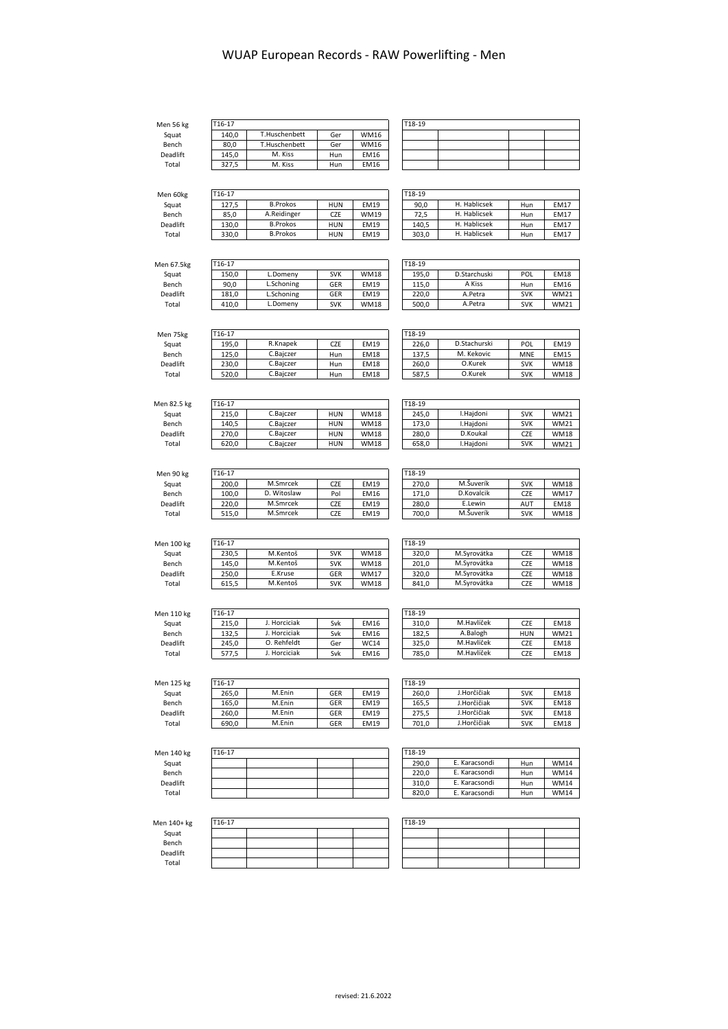Men 56 kg<br>Squat<br>Bench Squat | 140,0 T.Huschenbett | Ger WM16 Bench | 80,0 | T.Huschenbett | Ger | WM16

Deadlift | 145,0 M. Kiss | Hun EM16 Total | 327,5 | M. Kiss | Hun EM16

| T18-19 |  |  |  |  |  |  |  |  |  |
|--------|--|--|--|--|--|--|--|--|--|
|        |  |  |  |  |  |  |  |  |  |
|        |  |  |  |  |  |  |  |  |  |
|        |  |  |  |  |  |  |  |  |  |
|        |  |  |  |  |  |  |  |  |  |

| Men 60kg | T <sub>16</sub> -17 |                 |            |             | T18-19 |              |     |             |
|----------|---------------------|-----------------|------------|-------------|--------|--------------|-----|-------------|
| Squat    | 127.5               | <b>B.Prokos</b> | <b>HUN</b> | EM19        | 90,0   | H. Hablicsek | Hun | <b>EM17</b> |
| Bench    | 85.0                | A.Reidinger     | CZE        | <b>WM19</b> | 72,5   | H. Hablicsek | Hun | EM17        |
| Deadlift | 130.0               | <b>B.Prokos</b> | <b>HUN</b> | EM19        | 140.5  | H. Hablicsek | Hun | <b>EM17</b> |
| Total    | 330.0               | <b>B.Prokos</b> | <b>HUN</b> | EM19        | 303.0  | H. Hablicsek | Hun | <b>EM17</b> |
|          |                     |                 |            |             |        |              |     |             |

T16-17<br>140,0 T.Huschenbett Ger WM16

| H. Hablicsek | Hun | <b>EM17</b> |
|--------------|-----|-------------|
| H. Hablicsek | Hun | <b>EM17</b> |
| H. Hablicsek | Hun | <b>EM17</b> |
| H. Hablicsek | Hun | <b>EM17</b> |
|              |     |             |

| Men 67.5kg      | T16-17 |            |            |             | T18-19 |              |            |             |
|-----------------|--------|------------|------------|-------------|--------|--------------|------------|-------------|
| Sauat           | 150.0  | L.Domeny   | <b>SVK</b> | <b>WM18</b> | 195.0  | D.Starchuski | POL        | <b>EM18</b> |
| Bench           | 90.0   | L.Schoning | GER        | EM19        | 115.0  | A Kiss       | Hun        | <b>EM16</b> |
| <b>Deadlift</b> | 181.0  | L.Schoning | GER        | EM19        | 220.0  | A.Petra      | <b>SVK</b> | <b>WM21</b> |
| Total           | 410.0  | L.Domeny   | <b>SVK</b> | <b>WM18</b> | 500.0  | A.Petra      | <b>SVK</b> | <b>WM21</b> |

| Men 75kg | T16-17 |           |     |             | T18-19 |              |            |             |
|----------|--------|-----------|-----|-------------|--------|--------------|------------|-------------|
| Squat    | 195.0  | R.Knapek  | CZE | EM19        | 226.0  | D.Stachurski | POL        | <b>EM19</b> |
| Bench    | 125.0  | C.Baiczer | Hun | EM18        | 137.5  | M. Kekovic   | <b>MNE</b> | <b>EM15</b> |
| Deadlift | 230.0  | C.Baiczer | Hun | <b>EM18</b> | 260.0  | O.Kurek      | <b>SVK</b> | <b>WM18</b> |
| Total    | 520.0  | C.Bajczer | Hun | <b>EM18</b> | 587.5  | O.Kurek      | <b>SVK</b> | <b>WM18</b> |

| Men 82.5 kg     | T16-17 |           |            |             | T18-19 |           |            |             |
|-----------------|--------|-----------|------------|-------------|--------|-----------|------------|-------------|
| Squat           | 215.0  | C.Baiczer | <b>HUN</b> | <b>WM18</b> | 245.0  | I.Haidoni | <b>SVK</b> | <b>WM21</b> |
| Bench           | 140.5  | C.Baiczer | <b>HUN</b> | <b>WM18</b> | 173.0  | I.Haidoni | <b>SVK</b> | <b>WM21</b> |
| <b>Deadlift</b> | 270.0  | C.Baiczer | <b>HUN</b> | <b>WM18</b> | 280.0  | D.Koukal  | CZE        | <b>WM18</b> |
| Total           | 620,0  | C.Baiczer | <b>HUN</b> | <b>WM18</b> | 658.0  | I.Haidoni | <b>SVK</b> | <b>WM21</b> |

| Men 90 kg | T16-17 |             |     |      | T18-19 |            |            |             |
|-----------|--------|-------------|-----|------|--------|------------|------------|-------------|
| Squat     | 200.0  | M.Smrcek    | CZE | EM19 | 270.0  | M.Šuverík  | <b>SVK</b> | <b>WM18</b> |
| Bench     | 100.0  | D. Witoslaw | Pol | EM16 | 171.0  | D.Kovalcik | CZE        | <b>WM17</b> |
| Deadlift  | 220.0  | M.Smrcek    | CZE | EM19 | 280.0  | E.Lewin    | AUT        | <b>EM18</b> |
| Total     | 515.0  | M.Smrcek    | CZE | EM19 | 700.0  | M.Šuverík  | <b>SVK</b> | <b>WM18</b> |

| Men 100 kg | T16-17 |          |            |             | T18-19 |             |     |             |
|------------|--------|----------|------------|-------------|--------|-------------|-----|-------------|
| Squat      | 230.5  | M.Kentoš | <b>SVK</b> | WM18        | 320.0  | M.Svrovátka | CZE | <b>WM18</b> |
| Bench      | 145.0  | M.Kentoš | <b>SVK</b> | <b>WM18</b> | 201.0  | M.Svrovátka | CZE | <b>WM18</b> |
| Deadlift   | 250.0  | E.Kruse  | GER        | WM17        | 320.0  | M.Svrovátka | CZE | <b>WM18</b> |
| Total      | 615.5  | M.Kentoš | <b>SVK</b> | <b>WM18</b> | 841.0  | M.Svrovátka | CZE | <b>WM18</b> |

| Men 110 kg      | T16-17 |              |     |      | T18-19 |            |            |             |
|-----------------|--------|--------------|-----|------|--------|------------|------------|-------------|
| Squat           | 215.0  | I. Horciciak | Svk | EM16 | 310.0  | M.Havlíček | CZE        | <b>EM18</b> |
| Bench           | 132.5  | I. Horciciak | Svk | EM16 | 182.5  | A.Balogh   | <b>HUN</b> | <b>WM21</b> |
| <b>Deadlift</b> | 245.0  | O. Rehfeldt  | Ger | WC14 | 325.0  | M.Havlíček | CZE        | <b>EM18</b> |
| Total           | 577.5  | I. Horciciak | Svk | EM16 | 785.0  | M.Havlíček | CZE        | <b>EM18</b> |

| Men 125 kg |  |
|------------|--|
| Squat      |  |
| Bench      |  |
| Deadlift   |  |
| $T0$ tol   |  |

| en 125 kg | T16-17 |        |            |      | T18-19 |             |            |      |
|-----------|--------|--------|------------|------|--------|-------------|------------|------|
| Squat     | 265.0  | M.Enin | <b>GER</b> | EM19 | 260.0  | J.Horčičiak | <b>SVK</b> | EM18 |
| Bench     | 165.0  | M.Enin | GER        | EM19 | 165.5  | J.Horčičiak | <b>SVK</b> | EM18 |
| Deadlift  | 260.0  | M.Enin | GER        | EM19 | 275.5  | J.Horčičiak | <b>SVK</b> | EM18 |
| Total     | 690.0  | M.Enin | <b>GER</b> | EM19 | 701,0  | J.Horčičiak | <b>SVK</b> | EM18 |

| 18-19 |             |            |             |
|-------|-------------|------------|-------------|
| 260.0 | J.Horčičiak | <b>SVK</b> | <b>EM18</b> |
| 165,5 | J.Horčičiak | <b>SVK</b> | <b>EM18</b> |
| 275.5 | J.Horčičiak | <b>SVK</b> | <b>EM18</b> |
| 701.0 | J.Horčičiak | <b>SVK</b> | <b>EM18</b> |

| Men 140 kg |  |
|------------|--|
| Squat      |  |
| Bench      |  |
| Deadlift   |  |
| $T0$ tol   |  |

| en 140 kg       | T16-17 |  |  | T18-19 |               |     |             |
|-----------------|--------|--|--|--------|---------------|-----|-------------|
| Squat           |        |  |  | 290.0  | E. Karacsondi | Hun | <b>WM14</b> |
| Bench           |        |  |  | 220.0  | E. Karacsondi | Hun | <b>WM14</b> |
| <b>Deadlift</b> |        |  |  | 310.0  | E. Karacsondi | Hun | <b>WM14</b> |
| Total           |        |  |  | 820.0  | E. Karacsondi | Hun | <b>WM14</b> |

| 18-19 |               |     |             |
|-------|---------------|-----|-------------|
| 290,0 | E. Karacsondi | Hun | <b>WM14</b> |
| 220.0 | E. Karacsondi | Hun | <b>WM14</b> |
| 310,0 | E. Karacsondi | Hun | <b>WM14</b> |
| 820,0 | E. Karacsondi | Hun | <b>WM14</b> |

| Men 140+ kg |
|-------------|
| Squat       |

 $T16-17$ 

Bench Deadlift Total

| $T18-19$ |  |  |
|----------|--|--|
|          |  |  |
|          |  |  |
|          |  |  |
|          |  |  |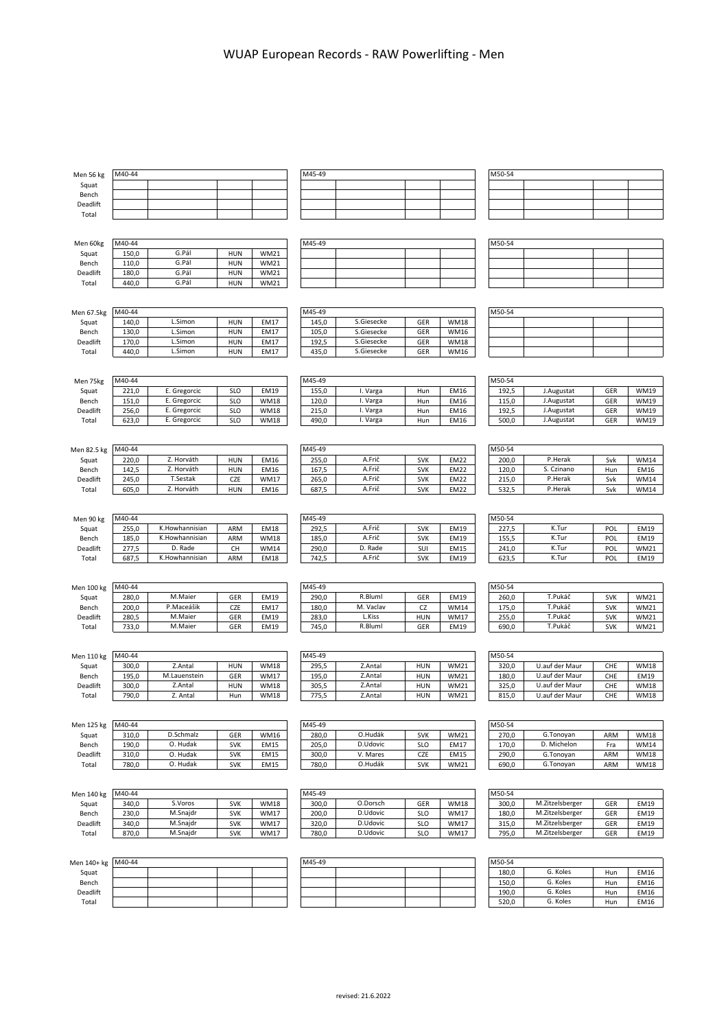| Men 56 kg   | M40-44 |                |            |             | M45-49 |            |            |             | M50-54 |                 |            |             |
|-------------|--------|----------------|------------|-------------|--------|------------|------------|-------------|--------|-----------------|------------|-------------|
| Squat       |        |                |            |             |        |            |            |             |        |                 |            |             |
|             |        |                |            |             |        |            |            |             |        |                 |            |             |
| Bench       |        |                |            |             |        |            |            |             |        |                 |            |             |
| Deadlift    |        |                |            |             |        |            |            |             |        |                 |            |             |
| Total       |        |                |            |             |        |            |            |             |        |                 |            |             |
|             |        |                |            |             |        |            |            |             |        |                 |            |             |
|             |        |                |            |             |        |            |            |             |        |                 |            |             |
|             | M40-44 |                |            |             | M45-49 |            |            |             | M50-54 |                 |            |             |
| Men 60kg    |        |                |            |             |        |            |            |             |        |                 |            |             |
| Squat       | 150,0  | G.Pál          | <b>HUN</b> | <b>WM21</b> |        |            |            |             |        |                 |            |             |
| Bench       | 110,0  | G.Pál          | <b>HUN</b> | <b>WM21</b> |        |            |            |             |        |                 |            |             |
| Deadlift    | 180,0  | G.Pál          | <b>HUN</b> | <b>WM21</b> |        |            |            |             |        |                 |            |             |
| Total       | 440,0  | G.Pál          | <b>HUN</b> | <b>WM21</b> |        |            |            |             |        |                 |            |             |
|             |        |                |            |             |        |            |            |             |        |                 |            |             |
|             |        |                |            |             |        |            |            |             |        |                 |            |             |
|             |        |                |            |             |        |            |            |             |        |                 |            |             |
| Men 67.5kg  | M40-44 |                |            |             | M45-49 |            |            |             | M50-54 |                 |            |             |
| Squat       | 140,0  | L.Simon        | <b>HUN</b> | EM17        | 145,0  | S.Giesecke | GER        | <b>WM18</b> |        |                 |            |             |
| Bench       | 130,0  | L.Simon        | <b>HUN</b> | EM17        | 105,0  | S.Giesecke | GER        | <b>WM16</b> |        |                 |            |             |
| Deadlift    | 170,0  | L.Simon        | <b>HUN</b> | EM17        | 192,5  | S.Giesecke | GER        | <b>WM18</b> |        |                 |            |             |
| Total       | 440,0  | L.Simon        | <b>HUN</b> | EM17        | 435,0  | S.Giesecke | GER        | <b>WM16</b> |        |                 |            |             |
|             |        |                |            |             |        |            |            |             |        |                 |            |             |
|             |        |                |            |             |        |            |            |             |        |                 |            |             |
|             |        |                |            |             |        |            |            |             |        |                 |            |             |
| Men 75kg    | M40-44 |                |            |             | M45-49 |            |            |             | M50-54 |                 |            |             |
| Squat       | 221,0  | E. Gregorcic   | <b>SLO</b> | EM19        | 155,0  | I. Varga   | Hun        | EM16        | 192,5  | J.Augustat      | GER        | <b>WM19</b> |
| Bench       | 151,0  | E. Gregorcic   | <b>SLO</b> | <b>WM18</b> | 120,0  | I. Varga   | Hun        | EM16        | 115,0  | J.Augustat      | GER        | <b>WM19</b> |
|             |        |                | <b>SLO</b> | <b>WM18</b> |        |            |            | <b>EM16</b> |        |                 | GER        | <b>WM19</b> |
| Deadlift    | 256,0  | E. Gregorcic   |            |             | 215,0  | I. Varga   | Hun        |             | 192,5  | J.Augustat      |            |             |
| Total       | 623,0  | E. Gregorcic   | <b>SLO</b> | <b>WM18</b> | 490,0  | I. Varga   | Hun        | EM16        | 500,0  | J.Augustat      | GER        | <b>WM19</b> |
|             |        |                |            |             |        |            |            |             |        |                 |            |             |
|             |        |                |            |             |        |            |            |             |        |                 |            |             |
| Men 82.5 kg | M40-44 |                |            |             | M45-49 |            |            |             | M50-54 |                 |            |             |
|             |        | Z. Horváth     |            |             |        | A.Frič     |            |             |        | P.Herak         |            |             |
| Squat       | 220,0  |                | <b>HUN</b> | EM16        | 255,0  |            | <b>SVK</b> | <b>EM22</b> | 200,0  |                 | Svk        | <b>WM14</b> |
| Bench       | 142,5  | Z. Horváth     | <b>HUN</b> | EM16        | 167,5  | A.Frič     | <b>SVK</b> | <b>EM22</b> | 120,0  | S. Czinano      | Hun        | <b>EM16</b> |
| Deadlift    | 245,0  | T.Sestak       | CZE        | <b>WM17</b> | 265,0  | A.Frič     | <b>SVK</b> | <b>EM22</b> | 215,0  | P.Herak         | Svk        | <b>WM14</b> |
| Total       | 605,0  | Z. Horváth     | <b>HUN</b> | EM16        | 687,5  | A.Frič     | <b>SVK</b> | <b>EM22</b> | 532,5  | P.Herak         | Svk        | <b>WM14</b> |
|             |        |                |            |             |        |            |            |             |        |                 |            |             |
|             |        |                |            |             |        |            |            |             |        |                 |            |             |
|             |        |                |            |             |        |            |            |             |        |                 |            |             |
| Men 90 kg   | M40-44 |                |            |             | M45-49 |            |            |             | M50-54 |                 |            |             |
| Squat       | 255,0  | K.Howhannisian | ARM        | <b>EM18</b> | 292,5  | A.Frič     | <b>SVK</b> | EM19        | 227,5  | K.Tur           | POL        | <b>EM19</b> |
| Bench       | 185,0  | K.Howhannisian | ARM        | <b>WM18</b> | 185,0  | A.Frič     | <b>SVK</b> | <b>EM19</b> | 155,5  | K.Tur           | POL        | EM19        |
| Deadlift    | 277,5  | D. Rade        | CH         | <b>WM14</b> | 290,0  | D. Rade    | SUI        | <b>EM15</b> | 241,0  | K.Tur           | POL        | <b>WM21</b> |
| Total       | 687,5  | K.Howhannisian | ARM        | <b>EM18</b> | 742,5  | A.Frič     | <b>SVK</b> | EM19        | 623,5  | K.Tur           | POL        | EM19        |
|             |        |                |            |             |        |            |            |             |        |                 |            |             |
|             |        |                |            |             |        |            |            |             |        |                 |            |             |
|             |        |                |            |             |        |            |            |             |        |                 |            |             |
| Men 100 kg  | M40-44 |                |            |             | M45-49 |            |            |             | M50-54 |                 |            |             |
|             |        |                |            | EM19        |        | R.Bluml    | GER        | EM19        |        | T.Pukáč         |            | <b>WM21</b> |
| Squat       | 280,0  | M.Maier        | GER        |             | 290,0  |            |            |             | 260,0  |                 | <b>SVK</b> |             |
|             |        |                |            |             |        |            |            |             |        |                 |            |             |
| Bench       | 200,0  | P.Maceášik     | CZE        | EM17        | 180,0  | M. Vaclav  | CZ         | <b>WM14</b> | 175,0  | T.Pukáč         | <b>SVK</b> | <b>WM21</b> |
| Deadlift    | 280,5  | M.Maier        | GER        | EM19        | 283,0  | L.Kiss     | <b>HUN</b> | <b>WM17</b> | 255,0  | T.Pukáč         | <b>SVK</b> | <b>WM21</b> |
| Total       | 733,0  | M.Maier        | GER        | EM19        | 745,0  | R.Bluml    | GER        | EM19        | 690,0  | T.Pukáč         | <b>SVK</b> | <b>WM21</b> |
|             |        |                |            |             |        |            |            |             |        |                 |            |             |
|             |        |                |            |             |        |            |            |             |        |                 |            |             |
| Men 110 kg  | M40-44 |                |            |             | M45-49 |            |            |             | M50-54 |                 |            |             |
|             | 300,0  | Z.Antal        |            | <b>WM18</b> |        | Z.Antal    |            | <b>WM21</b> |        | U.auf der Maur  |            | <b>WM18</b> |
| Squat       |        |                | <b>HUN</b> |             | 295,5  | Z.Antal    | <b>HUN</b> |             | 320,0  |                 | CHE        |             |
| Bench       | 195,0  | M.Lauenstein   | GER        | <b>WM17</b> | 195,0  |            | <b>HUN</b> | WM21        | 180,0  | U.auf der Maur  | CHE        | EM19        |
| Deadlift    | 300,0  | Z.Antal        | <b>HUN</b> | <b>WM18</b> | 305,5  | Z.Antal    | HUN        | <b>WM21</b> | 325,0  | U.auf der Maur  | CHE        | WM18        |
| Total       | 790,0  | Z. Antal       | Hun        | <b>WM18</b> | 775,5  | Z.Antal    | <b>HUN</b> | <b>WM21</b> | 815,0  | U.auf der Maur  | CHE        | <b>WM18</b> |
|             |        |                |            |             |        |            |            |             |        |                 |            |             |
|             |        |                |            |             |        |            |            |             |        |                 |            |             |
| Men 125 kg  | M40-44 |                |            |             | M45-49 |            |            |             | M50-54 |                 |            |             |
|             |        |                |            |             |        |            |            |             |        |                 |            |             |
| Squat       | 310,0  | D.Schmalz      | GER        | <b>WM16</b> | 280,0  | O.Hudák    | <b>SVK</b> | <b>WM21</b> | 270,0  | G.Tonoyan       | ARM        | <b>WM18</b> |
| Bench       | 190,0  | O. Hudak       | <b>SVK</b> | <b>EM15</b> | 205,0  | D.Udovic   | <b>SLO</b> | EM17        | 170,0  | D. Michelon     | Fra        | <b>WM14</b> |
| Deadlift    | 310,0  | O. Hudak       | <b>SVK</b> | EM15        | 300,0  | V. Mares   | CZE        | EM15        | 290,0  | G.Tonoyan       | ARM        | <b>WM18</b> |
| Total       | 780,0  | O. Hudak       | <b>SVK</b> | EM15        | 780,0  | O.Hudák    | <b>SVK</b> | WM21        | 690,0  | G.Tonoyan       | ARM        | <b>WM18</b> |
|             |        |                |            |             |        |            |            |             |        |                 |            |             |
|             |        |                |            |             |        |            |            |             |        |                 |            |             |
|             |        |                |            |             |        |            |            |             |        |                 |            |             |
| Men 140 kg  | M40-44 |                |            |             | M45-49 |            |            |             | M50-54 |                 |            |             |
| Squat       | 340,0  | S.Voros        | <b>SVK</b> | <b>WM18</b> | 300,0  | O.Dorsch   | GER        | <b>WM18</b> | 300,0  | M.Zitzelsberger | GER        | EM19        |
| Bench       | 230,0  | M.Snajdr       | <b>SVK</b> | <b>WM17</b> | 200,0  | D.Udovic   | <b>SLO</b> | <b>WM17</b> | 180,0  | M.Zitzelsberger | GER        | EM19        |
| Deadlift    | 340,0  | M.Snajdr       | <b>SVK</b> | <b>WM17</b> | 320,0  | D.Udovic   | SLO        | <b>WM17</b> | 315,0  | M.Zitzelsberger | GER        | EM19        |
| Total       | 870,0  | M.Snajdr       | <b>SVK</b> | <b>WM17</b> | 780,0  | D.Udovic   | <b>SLO</b> | <b>WM17</b> | 795,0  | M.Zitzelsberger | GER        | EM19        |
|             |        |                |            |             |        |            |            |             |        |                 |            |             |
|             |        |                |            |             |        |            |            |             |        |                 |            |             |
|             |        |                |            |             |        |            |            |             |        |                 |            |             |
| Men 140+ kg | M40-44 |                |            |             | M45-49 |            |            |             | M50-54 |                 |            |             |
| Squat       |        |                |            |             |        |            |            |             | 180,0  | G. Koles        | Hun        | EM16        |
| Bench       |        |                |            |             |        |            |            |             | 150,0  | G. Koles        | Hun        | EM16        |
| Deadlift    |        |                |            |             |        |            |            |             | 190,0  | G. Koles        | Hun        | EM16        |
| Total       |        |                |            |             |        |            |            |             | 520,0  | G. Koles        | Hun        | EM16        |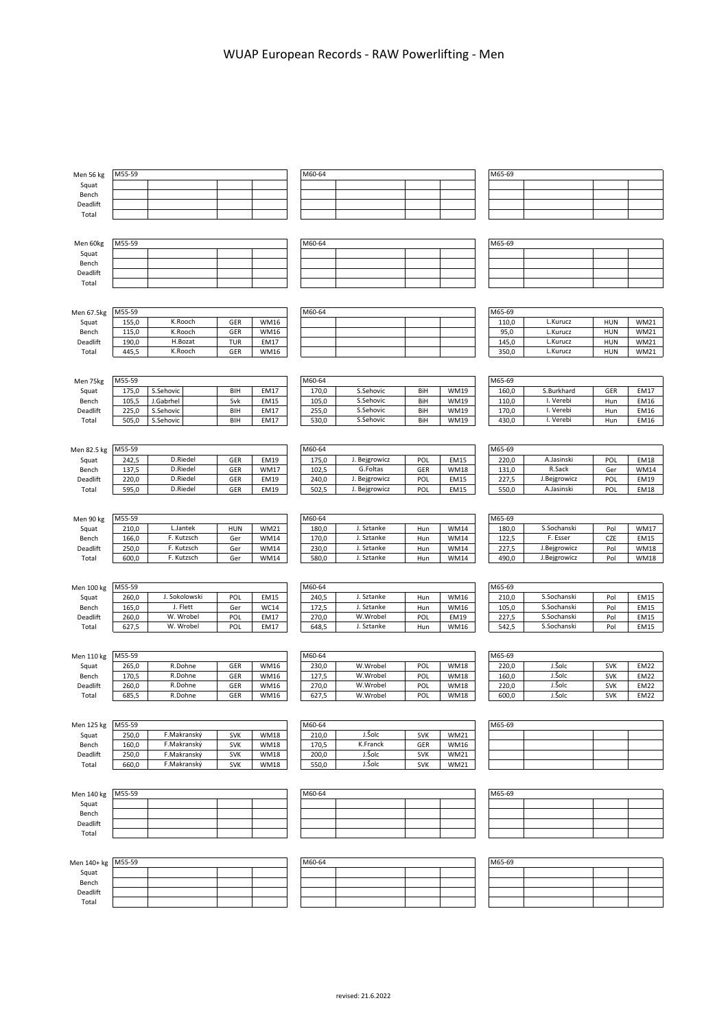| Men 56 kg   | M55-59 |                          |            |             | M60-64 |                          |            |             | M65-69 |              |            |             |
|-------------|--------|--------------------------|------------|-------------|--------|--------------------------|------------|-------------|--------|--------------|------------|-------------|
| Squat       |        |                          |            |             |        |                          |            |             |        |              |            |             |
| Bench       |        |                          |            |             |        |                          |            |             |        |              |            |             |
| Deadlift    |        |                          |            |             |        |                          |            |             |        |              |            |             |
| Total       |        |                          |            |             |        |                          |            |             |        |              |            |             |
|             |        |                          |            |             |        |                          |            |             |        |              |            |             |
|             |        |                          |            |             |        |                          |            |             |        |              |            |             |
| Men 60kg    | M55-59 |                          |            |             | M60-64 |                          |            |             | M65-69 |              |            |             |
| Squat       |        |                          |            |             |        |                          |            |             |        |              |            |             |
| Bench       |        |                          |            |             |        |                          |            |             |        |              |            |             |
| Deadlift    |        |                          |            |             |        |                          |            |             |        |              |            |             |
| Total       |        |                          |            |             |        |                          |            |             |        |              |            |             |
|             |        |                          |            |             |        |                          |            |             |        |              |            |             |
|             |        |                          |            |             |        |                          |            |             |        |              |            |             |
| Men 67.5kg  | M55-59 |                          |            |             | M60-64 |                          |            |             | M65-69 |              |            |             |
| Squat       | 155,0  | K.Rooch                  | GER        | WM16        |        |                          |            |             | 110,0  | L.Kurucz     | <b>HUN</b> | <b>WM21</b> |
| Bench       | 115,0  | K.Rooch                  | GER        | <b>WM16</b> |        |                          |            |             | 95,0   | L.Kurucz     | <b>HUN</b> | <b>WM21</b> |
| Deadlift    | 190,0  | H.Bozat                  | <b>TUR</b> | EM17        |        |                          |            |             | 145,0  | L.Kurucz     | <b>HUN</b> | <b>WM21</b> |
| Total       | 445,5  | K.Rooch                  | GER        | <b>WM16</b> |        |                          |            |             | 350,0  | L.Kurucz     | <b>HUN</b> | <b>WM21</b> |
|             |        |                          |            |             |        |                          |            |             |        |              |            |             |
|             |        |                          |            |             |        |                          |            |             |        |              |            |             |
| Men 75kg    | M55-59 |                          |            |             | M60-64 |                          |            |             | M65-69 |              |            |             |
| Squat       | 175,0  | S.Sehovic                | BIH        | EM17        | 170,0  | S.Sehovic                | BiH        | <b>WM19</b> | 160,0  | S.Burkhard   | GER        | EM17        |
| Bench       | 105,5  | J.Gabrhel                | Svk        | <b>EM15</b> | 105,0  | S.Sehovic                | BiH        | <b>WM19</b> | 110,0  | I. Verebi    | Hun        | <b>EM16</b> |
| Deadlift    | 225,0  | S.Sehovic                | BIH        | EM17        | 255,0  | S.Sehovic                | BiH        | <b>WM19</b> | 170,0  | I. Verebi    | Hun        | EM16        |
| Total       | 505,0  | S.Sehovic                | BIH        | EM17        | 530,0  | S.Sehovic                | BiH        | <b>WM19</b> | 430,0  | I. Verebi    | Hun        | EM16        |
|             |        |                          |            |             |        |                          |            |             |        |              |            |             |
|             |        |                          |            |             |        |                          |            |             |        |              |            |             |
| Men 82.5 kg | M55-59 |                          |            |             | M60-64 |                          |            |             | M65-69 |              |            |             |
| Squat       | 242,5  | D.Riedel                 | GER        | <b>EM19</b> | 175,0  | J. Bejgrowicz            | POL        | <b>EM15</b> | 220,0  | A.Jasinski   | POL        | <b>EM18</b> |
| Bench       | 137,5  | D.Riedel                 | GER        | <b>WM17</b> | 102,5  | G.Foltas                 | GER        | <b>WM18</b> | 131,0  | R.Sack       | Ger        | WM14        |
| Deadlift    | 220,0  | D.Riedel                 | GER        | <b>EM19</b> | 240,0  | J. Bejgrowicz            | POL        | EM15        | 227,5  | J.Bejgrowicz | POL        | EM19        |
| Total       | 595,0  | D.Riedel                 | GER        | <b>EM19</b> | 502,5  | J. Bejgrowicz            | POL        | <b>EM15</b> | 550,0  | A.Jasinski   | POL        | <b>EM18</b> |
|             |        |                          |            |             |        |                          |            |             |        |              |            |             |
|             |        |                          |            |             |        |                          |            |             |        |              |            |             |
| Men 90 kg   | M55-59 |                          |            |             | M60-64 |                          |            |             | M65-69 |              |            |             |
|             | 210,0  | L.Jantek                 | <b>HUN</b> | <b>WM21</b> | 180,0  | J. Sztanke               |            | <b>WM14</b> | 180,0  | S.Sochanski  | Pol        |             |
| Squat       |        |                          |            |             |        |                          | Hun        |             |        |              |            | <b>WM17</b> |
| Bench       | 166,0  | F. Kutzsch<br>F. Kutzsch | Ger        | <b>WM14</b> | 170,0  | J. Sztanke<br>J. Sztanke | Hun        | <b>WM14</b> | 122,5  | F. Esser     | CZE        | EM15        |
| Deadlift    | 250,0  |                          | Ger        | <b>WM14</b> | 230,0  |                          | Hun        | <b>WM14</b> | 227,5  | J.Bejgrowicz | Pol        | <b>WM18</b> |
| Total       | 600,0  | F. Kutzsch               | Ger        | <b>WM14</b> | 580,0  | J. Sztanke               | Hun        | <b>WM14</b> | 490,0  | J.Bejgrowicz | Pol        | WM18        |
|             |        |                          |            |             |        |                          |            |             |        |              |            |             |
|             |        |                          |            |             |        |                          |            |             | M65-69 |              |            |             |
|             |        |                          |            |             | M60-64 |                          |            |             |        |              |            |             |
| Men 100 kg  | M55-59 |                          |            |             |        |                          |            |             |        |              |            |             |
| Squat       | 260,0  | J. Sokolowski            | POL        | <b>EM15</b> | 240,5  | J. Sztanke               | Hun        | <b>WM16</b> | 210,0  | S.Sochanski  | Pol        | EM15        |
| Bench       | 165,0  | J. Flett                 | Ger        | <b>WC14</b> | 172,5  | J. Sztanke               | Hun        | <b>WM16</b> | 105,0  | S.Sochanski  | Pol        | EM15        |
| Deadlift    | 260,0  | W. Wrobel                | POL        | EM17        | 270,0  | W.Wrobel                 | POL        | EM19        | 227,5  | S.Sochanski  | Pol        | EM15        |
| Total       | 627,5  | W. Wrobel                | POL        | EM17        | 648,5  | J. Sztanke               | Hun        | WM16        | 542,5  | S.Sochanski  | Pol        | EM15        |
|             |        |                          |            |             |        |                          |            |             |        |              |            |             |
|             |        |                          |            |             |        |                          |            |             |        |              |            |             |
| Men 110 kg  | M55-59 |                          |            |             | M60-64 |                          |            |             | M65-69 |              |            |             |
| Squat       | 265,0  | R.Dohne                  | GER        | <b>WM16</b> | 230,0  | W.Wrobel                 | POL        | <b>WM18</b> | 220,0  | J.Šolc       | <b>SVK</b> | <b>EM22</b> |
| Bench       | 170,5  | R.Dohne                  | GER        | <b>WM16</b> | 127,5  | W.Wrobel                 | POL        | <b>WM18</b> | 160,0  | J.Šolc       | <b>SVK</b> | <b>EM22</b> |
| Deadlift    | 260,0  | R.Dohne                  | GER        | <b>WM16</b> | 270,0  | W.Wrobel                 | POL        | <b>WM18</b> | 220,0  | J.Šolc       | <b>SVK</b> | <b>EM22</b> |
| Total       | 685,5  | R.Dohne                  | GER        | WM16        | 627,5  | W.Wrobel                 | POL        | <b>WM18</b> | 600,0  | J.Šolc       | <b>SVK</b> | <b>EM22</b> |
|             |        |                          |            |             |        |                          |            |             |        |              |            |             |
|             |        |                          |            |             |        |                          |            |             |        |              |            |             |
| Men 125 kg  | M55-59 |                          |            |             | M60-64 |                          |            |             | M65-69 |              |            |             |
| Squat       | 250,0  | F.Makranský              | <b>SVK</b> | <b>WM18</b> | 210,0  | J.Šolc                   | <b>SVK</b> | <b>WM21</b> |        |              |            |             |
| Bench       | 160,0  | F.Makranský              | <b>SVK</b> | <b>WM18</b> | 170,5  | K.Franck                 | GER        | <b>WM16</b> |        |              |            |             |
| Deadlift    | 250,0  | F.Makranský              | <b>SVK</b> | <b>WM18</b> | 200,0  | J.Šolc                   | <b>SVK</b> | <b>WM21</b> |        |              |            |             |
| Total       | 660,0  | F.Makranský              | <b>SVK</b> | <b>WM18</b> | 550,0  | J.Šolc                   | <b>SVK</b> | <b>WM21</b> |        |              |            |             |
|             |        |                          |            |             |        |                          |            |             |        |              |            |             |
|             |        |                          |            |             |        |                          |            |             |        |              |            |             |
| Men 140 kg  | M55-59 |                          |            |             | M60-64 |                          |            |             | M65-69 |              |            |             |
| Squat       |        |                          |            |             |        |                          |            |             |        |              |            |             |
| Bench       |        |                          |            |             |        |                          |            |             |        |              |            |             |
| Deadlift    |        |                          |            |             |        |                          |            |             |        |              |            |             |
| Total       |        |                          |            |             |        |                          |            |             |        |              |            |             |
|             |        |                          |            |             |        |                          |            |             |        |              |            |             |
|             |        |                          |            |             |        |                          |            |             |        |              |            |             |
| Men 140+ kg | M55-59 |                          |            |             | M60-64 |                          |            |             | M65-69 |              |            |             |
| Squat       |        |                          |            |             |        |                          |            |             |        |              |            |             |
| Bench       |        |                          |            |             |        |                          |            |             |        |              |            |             |
| Deadlift    |        |                          |            |             |        |                          |            |             |        |              |            |             |
| Total       |        |                          |            |             |        |                          |            |             |        |              |            |             |